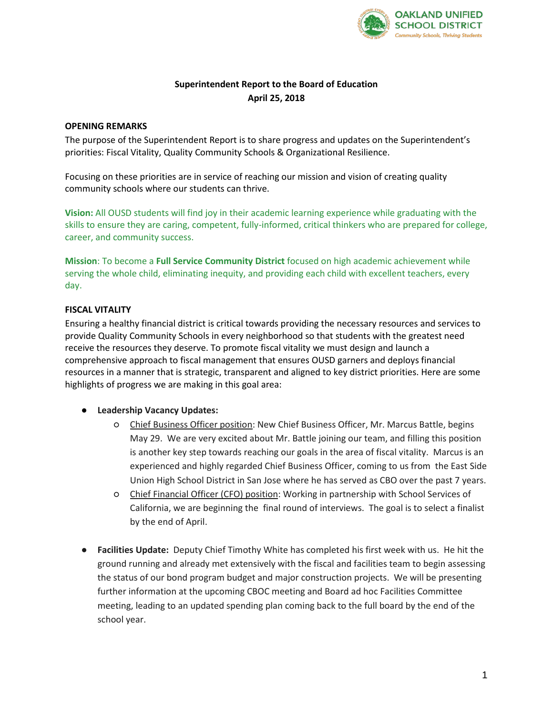

# **Superintendent Report to the Board of Education April 25, 2018**

## **OPENING REMARKS**

The purpose of the Superintendent Report is to share progress and updates on the Superintendent's priorities: Fiscal Vitality, Quality Community Schools & Organizational Resilience.

Focusing on these priorities are in service of reaching our mission and vision of creating quality community schools where our students can thrive.

**Vision:** All OUSD students will find joy in their academic learning experience while graduating with the skills to ensure they are caring, competent, fully-informed, critical thinkers who are prepared for college, career, and community success.

**Mission**: To become a **Full Service Community District** focused on high academic achievement while serving the whole child, eliminating inequity, and providing each child with excellent teachers, every day.

# **FISCAL VITALITY**

Ensuring a healthy financial district is critical towards providing the necessary resources and services to provide Quality Community Schools in every neighborhood so that students with the greatest need receive the resources they deserve. To promote fiscal vitality we must design and launch a comprehensive approach to fiscal management that ensures OUSD garners and deploys financial resources in a manner that is strategic, transparent and aligned to key district priorities. Here are some highlights of progress we are making in this goal area:

### ● **Leadership Vacancy Updates:**

- Chief Business Officer position: New Chief Business Officer, Mr. Marcus Battle, begins May 29. We are very excited about Mr. Battle joining our team, and filling this position is another key step towards reaching our goals in the area of fiscal vitality. Marcus is an experienced and highly regarded Chief Business Officer, coming to us from the East Side Union High School District in San Jose where he has served as CBO over the past 7 years.
- Chief Financial Officer (CFO) position: Working in partnership with School Services of California, we are beginning the final round of interviews. The goal is to select a finalist by the end of April.
- **Facilities Update:** Deputy Chief Timothy White has completed his first week with us. He hit the ground running and already met extensively with the fiscal and facilities team to begin assessing the status of our bond program budget and major construction projects. We will be presenting further information at the upcoming CBOC meeting and Board ad hoc Facilities Committee meeting, leading to an updated spending plan coming back to the full board by the end of the school year.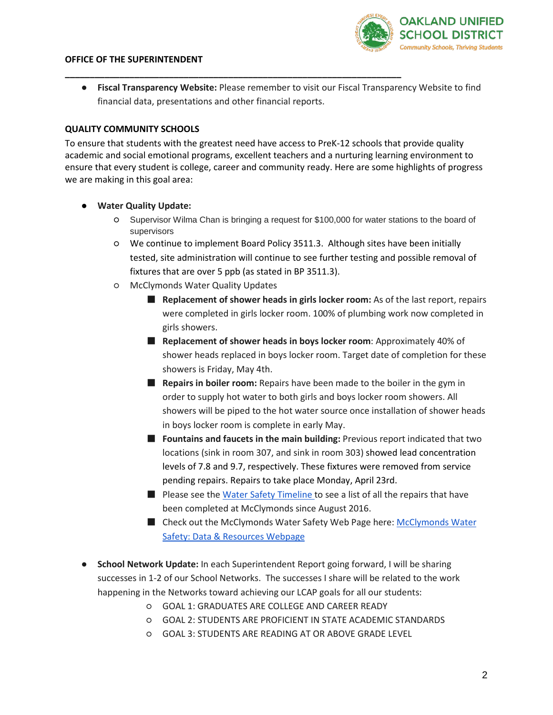#### **OFFICE OF THE SUPERINTENDENT**



● **Fiscal Transparency Website:** Please remember to visit our Fiscal Transparency Website to find financial data, presentations and other financial reports.

**\_\_\_\_\_\_\_\_\_\_\_\_\_\_\_\_\_\_\_\_\_\_\_\_\_\_\_\_\_\_\_\_\_\_\_\_\_\_\_\_\_\_\_\_\_\_\_\_\_\_\_\_\_\_\_\_\_\_\_\_\_\_\_\_\_\_\_\_**

# **QUALITY COMMUNITY SCHOOLS**

To ensure that students with the greatest need have access to PreK-12 schools that provide quality academic and social emotional programs, excellent teachers and a nurturing learning environment to ensure that every student is college, career and community ready. Here are some highlights of progress we are making in this goal area:

- **Water Quality Update:**
	- Supervisor Wilma Chan is bringing a request for \$100,000 for water stations to the board of supervisors
	- We continue to implement Board Policy 3511.3. Although sites have been initially tested, site administration will continue to see further testing and possible removal of fixtures that are over 5 ppb (as stated in BP 3511.3).
	- McClymonds Water Quality Updates
		- **Replacement of shower heads in girls locker room:** As of the last report, repairs were completed in girls locker room. 100% of plumbing work now completed in girls showers.
		- **Replacement of shower heads in boys locker room**: Approximately 40% of shower heads replaced in boys locker room. Target date of completion for these showers is Friday, May 4th.
		- **Repairs in boiler room:** Repairs have been made to the boiler in the gym in order to supply hot water to both girls and boys locker room showers. All showers will be piped to the hot water source once installation of shower heads in boys locker room is complete in early May.
		- **Fountains and faucets in the main building:** Previous report indicated that two locations (sink in room 307, and sink in room 303) showed lead concentration levels of 7.8 and 9.7, respectively. These fixtures were removed from service pending repairs. Repairs to take place Monday, April 23rd.
		- Please see the [Water Safety Timeline t](https://docs.google.com/document/d/1wZUj-5px8X8hGJ_ANc4z-PBhYQjFC2qc0_9SaX0hJp8/edit?usp=sharing)o see a list of all the repairs that have been completed at McClymonds since August 2016.
		- Check out the [McClymonds Water](https://docs.google.com/document/d/1wZUj-5px8X8hGJ_ANc4z-PBhYQjFC2qc0_9SaX0hJp8/edit?usp=sharing) Safety Web Page here: McClymonds Water [Safety: Data & Resources Webpage](https://docs.google.com/document/d/1wZUj-5px8X8hGJ_ANc4z-PBhYQjFC2qc0_9SaX0hJp8/edit?usp=sharing)
- **School Network Update:** In each Superintendent Report going forward, I will be sharing successes in 1-2 of our School Networks. The successes I share will be related to the work happening in the Networks toward achieving our LCAP goals for all our students:
	- GOAL 1: GRADUATES ARE COLLEGE AND CAREER READY
	- GOAL 2: STUDENTS ARE PROFICIENT IN STATE ACADEMIC STANDARDS
	- GOAL 3: STUDENTS ARE READING AT OR ABOVE GRADE LEVEL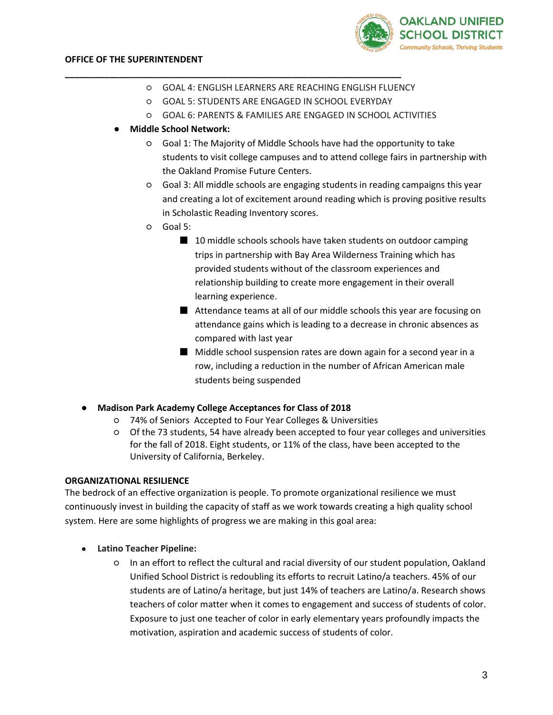

- GOAL 4: ENGLISH LEARNERS ARE REACHING ENGLISH FLUENCY
- GOAL 5: STUDENTS ARE ENGAGED IN SCHOOL EVERYDAY

**\_\_\_\_\_\_\_\_\_\_\_\_\_\_\_\_\_\_\_\_\_\_\_\_\_\_\_\_\_\_\_\_\_\_\_\_\_\_\_\_\_\_\_\_\_\_\_\_\_\_\_\_\_\_\_\_\_\_\_\_\_\_\_\_\_\_\_\_**

- GOAL 6: PARENTS & FAMILIES ARE ENGAGED IN SCHOOL ACTIVITIES
- **Middle School Network:**
	- Goal 1: The Majority of Middle Schools have had the opportunity to take students to visit college campuses and to attend college fairs in partnership with the Oakland Promise Future Centers.
	- Goal 3: All middle schools are engaging students in reading campaigns this year and creating a lot of excitement around reading which is proving positive results in Scholastic Reading Inventory scores.
	- Goal 5:
		- 10 middle schools schools have taken students on outdoor camping trips in partnership with Bay Area Wilderness Training which has provided students without of the classroom experiences and relationship building to create more engagement in their overall learning experience.
		- Attendance teams at all of our middle schools this year are focusing on attendance gains which is leading to a decrease in chronic absences as compared with last year
		- Middle school suspension rates are down again for a second year in a row, including a reduction in the number of African American male students being suspended
- **Madison Park Academy College Acceptances for Class of 2018** 
	- 74% of Seniors Accepted to Four Year Colleges & Universities
	- Of the 73 students, 54 have already been accepted to four year colleges and universities for the fall of 2018. Eight students, or 11% of the class, have been accepted to the University of California, Berkeley.

### **ORGANIZATIONAL RESILIENCE**

The bedrock of an effective organization is people. To promote organizational resilience we must continuously invest in building the capacity of staff as we work towards creating a high quality school system. Here are some highlights of progress we are making in this goal area:

- **Latino Teacher Pipeline:**
	- In an effort to reflect the cultural and racial diversity of our student population, Oakland Unified School District is redoubling its efforts to recruit Latino/a teachers. 45% of our students are of Latino/a heritage, but just 14% of teachers are Latino/a. Research shows teachers of color matter when it comes to engagement and success of students of color. Exposure to just one teacher of color in early elementary years profoundly impacts the motivation, aspiration and academic success of students of color.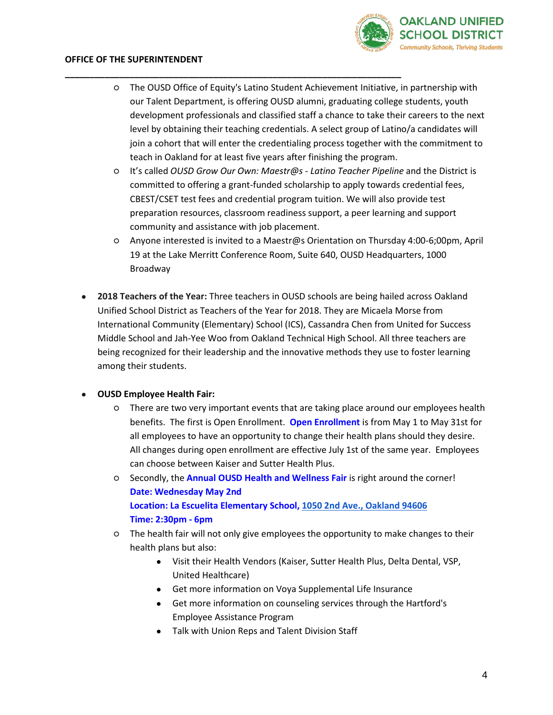

### **OFFICE OF THE SUPERINTENDENT**

○ The OUSD Office of Equity's Latino Student Achievement Initiative, in partnership with our Talent Department, is offering OUSD alumni, graduating college students, youth development professionals and classified staff a chance to take their careers to the next level by obtaining their teaching credentials. A select group of Latino/a candidates will join a cohort that will enter the credentialing process together with the commitment to teach in Oakland for at least five years after finishing the program.

**\_\_\_\_\_\_\_\_\_\_\_\_\_\_\_\_\_\_\_\_\_\_\_\_\_\_\_\_\_\_\_\_\_\_\_\_\_\_\_\_\_\_\_\_\_\_\_\_\_\_\_\_\_\_\_\_\_\_\_\_\_\_\_\_\_\_\_\_**

- It's called *OUSD Grow Our Own: Maestr@s - Latino Teacher Pipeline* and the District is committed to offering a grant-funded scholarship to apply towards credential fees, CBEST/CSET test fees and credential program tuition. We will also provide test preparation resources, classroom readiness support, a peer learning and support community and assistance with job placement.
- Anyone interested is invited to a Maestr@s Orientation on Thursday 4:00-6;00pm, April 19 at the Lake Merritt Conference Room, Suite 640, OUSD Headquarters, 1000 Broadway
- **2018 Teachers of the Year:** Three teachers in OUSD schools are being hailed across Oakland Unified School District as Teachers of the Year for 2018. They are Micaela Morse from International Community (Elementary) School (ICS), Cassandra Chen from United for Success Middle School and Jah-Yee Woo from Oakland Technical High School. All three teachers are being recognized for their leadership and the innovative methods they use to foster learning among their students.

### ● **OUSD Employee Health Fair:**

- There are two very important events that are taking place around our employees health benefits. The first is Open Enrollment. **Open Enrollment** is from May 1 to May 31st for all employees to have an opportunity to change their health plans should they desire. All changes during open enrollment are effective July 1st of the same year. Employees can choose between Kaiser and Sutter Health Plus.
- Secondly, the **Annual OUSD Health and Wellness Fair** is right around the corner! **Date: Wednesday May 2nd Location: La Escuelita Elementary School[, 1050 2nd Ave., Oakland 94606](https://maps.google.com/?q=1050+2nd+Ave.,+Oakland+94606&entry=gmail&source=g) Time: 2:30pm - 6pm**
- The health fair will not only give employees the opportunity to make changes to their health plans but also:
	- Visit their Health Vendors (Kaiser, Sutter Health Plus, Delta Dental, VSP, United Healthcare)
	- Get more information on Voya Supplemental Life Insurance
	- Get more information on counseling services through the Hartford's Employee Assistance Program
	- Talk with Union Reps and Talent Division Staff